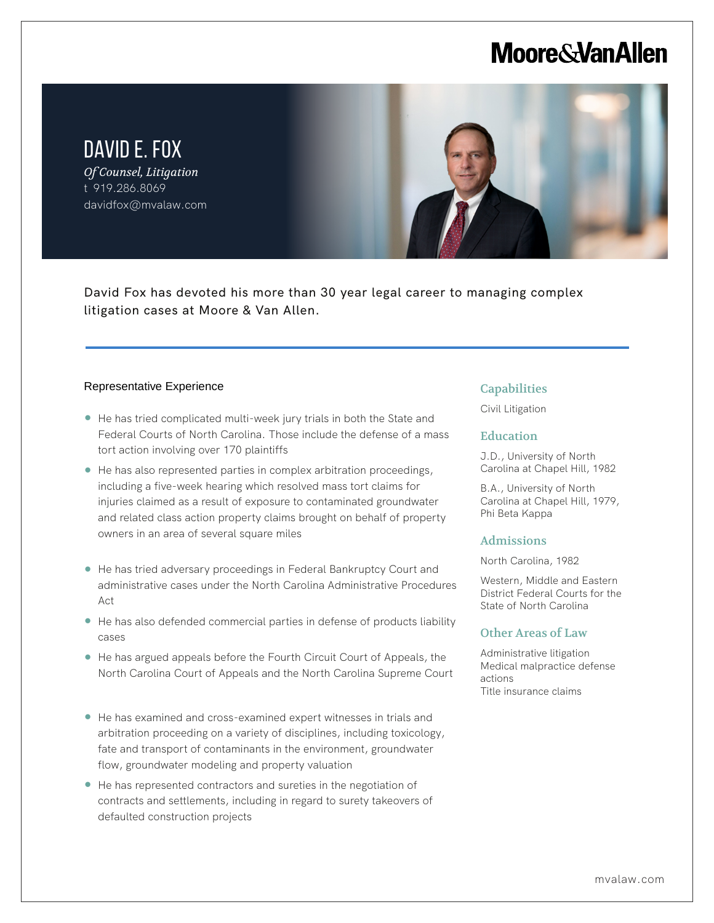## **Moore & Van Allen**

DAVID E. FOX *Of Counsel, Litigation* t 919.286.8069 davidfox@mvalaw.com



David Fox has devoted his more than 30 year legal career to managing complex litigation cases at Moore & Van Allen.

#### Representative Experience

l,

- He has tried complicated multi-week jury trials in both the State and Federal Courts of North Carolina. Those include the defense of a mass tort action involving over 170 plaintiffs
- He has also represented parties in complex arbitration proceedings, including a five-week hearing which resolved mass tort claims for injuries claimed as a result of exposure to contaminated groundwater and related class action property claims brought on behalf of property owners in an area of several square miles
- He has tried adversary proceedings in Federal Bankruptcy Court and administrative cases under the North Carolina Administrative Procedures Act
- He has also defended commercial parties in defense of products liability cases
- He has argued appeals before the Fourth Circuit Court of Appeals, the North Carolina Court of Appeals and the North Carolina Supreme Court
- He has examined and cross-examined expert witnesses in trials and arbitration proceeding on a variety of disciplines, including toxicology, fate and transport of contaminants in the environment, groundwater flow, groundwater modeling and property valuation
- He has represented contractors and sureties in the negotiation of contracts and settlements, including in regard to surety takeovers of defaulted construction projects

### **Capabilities**

Civil Litigation

### Education

J.D., University of North Carolina at Chapel Hill, 1982

B.A., University of North Carolina at Chapel Hill, 1979, Phi Beta Kappa

### Admissions

North Carolina, 1982

Western, Middle and Eastern District Federal Courts for the State of North Carolina

### Other Areas of Law

Administrative litigation Medical malpractice defense actions Title insurance claims